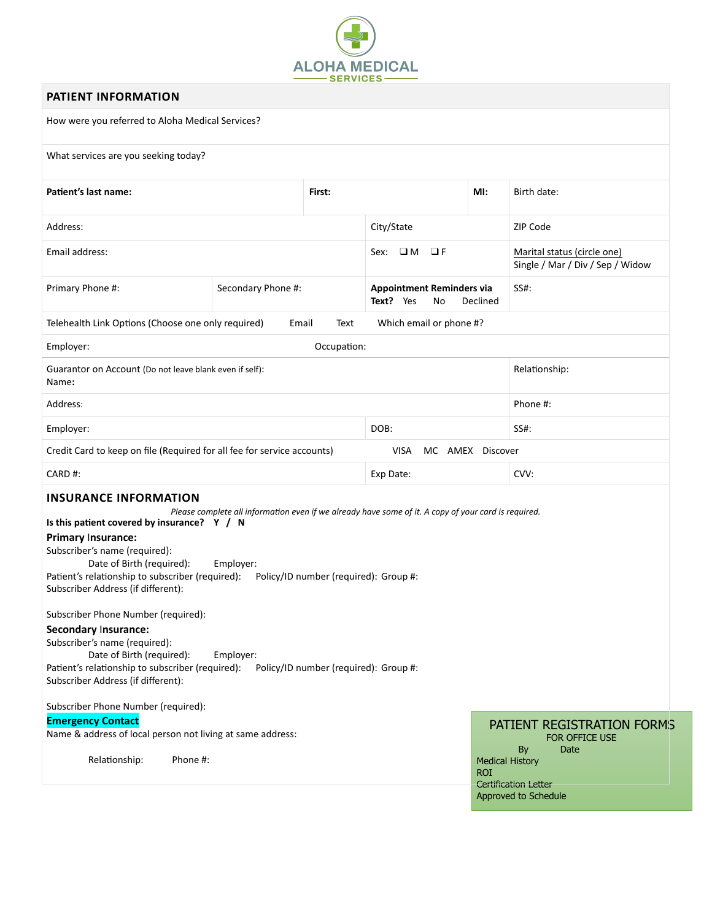

# **PATIENT INFORMATION**

How were you referred to Aloha Medical Services?

### What services are you seeking today?

| Patient's last name:                                                                                                                                                                                                                                                                                                                                                                                                                                                                                                    |                        | First:                                                                         |                                                                                                      | MI:                                  | Birth date:                                                                                                |  |
|-------------------------------------------------------------------------------------------------------------------------------------------------------------------------------------------------------------------------------------------------------------------------------------------------------------------------------------------------------------------------------------------------------------------------------------------------------------------------------------------------------------------------|------------------------|--------------------------------------------------------------------------------|------------------------------------------------------------------------------------------------------|--------------------------------------|------------------------------------------------------------------------------------------------------------|--|
| Address:                                                                                                                                                                                                                                                                                                                                                                                                                                                                                                                |                        |                                                                                | City/State                                                                                           |                                      | ZIP Code                                                                                                   |  |
| Email address:                                                                                                                                                                                                                                                                                                                                                                                                                                                                                                          |                        |                                                                                | Sex: $\Box$ M<br>OF                                                                                  |                                      | Marital status (circle one)<br>Single / Mar / Div / Sep / Widow                                            |  |
| Primary Phone #:                                                                                                                                                                                                                                                                                                                                                                                                                                                                                                        | Secondary Phone #:     |                                                                                | <b>Appointment Reminders via</b><br>Text? Yes<br>Declined<br>No                                      |                                      | SS#:                                                                                                       |  |
| Telehealth Link Options (Choose one only required)<br>Which email or phone #?<br>Email<br>Text                                                                                                                                                                                                                                                                                                                                                                                                                          |                        |                                                                                |                                                                                                      |                                      |                                                                                                            |  |
| Employer:<br>Occupation:                                                                                                                                                                                                                                                                                                                                                                                                                                                                                                |                        |                                                                                |                                                                                                      |                                      |                                                                                                            |  |
| Guarantor on Account (Do not leave blank even if self):<br>Name:                                                                                                                                                                                                                                                                                                                                                                                                                                                        |                        |                                                                                |                                                                                                      |                                      | Relationship:                                                                                              |  |
| Address:                                                                                                                                                                                                                                                                                                                                                                                                                                                                                                                |                        |                                                                                |                                                                                                      |                                      | Phone #:                                                                                                   |  |
| Employer:                                                                                                                                                                                                                                                                                                                                                                                                                                                                                                               |                        |                                                                                | DOB:                                                                                                 |                                      | SS#:                                                                                                       |  |
| Credit Card to keep on file (Required for all fee for service accounts)<br><b>VISA</b><br>MC AMEX Discover                                                                                                                                                                                                                                                                                                                                                                                                              |                        |                                                                                |                                                                                                      |                                      |                                                                                                            |  |
| CARD#:                                                                                                                                                                                                                                                                                                                                                                                                                                                                                                                  |                        |                                                                                | Exp Date:                                                                                            |                                      | CVV:                                                                                                       |  |
| <b>INSURANCE INFORMATION</b><br>Is this patient covered by insurance? Y / N<br>Primary Insurance:<br>Subscriber's name (required):<br>Date of Birth (required):<br>Patient's relationship to subscriber (required):<br>Subscriber Address (if different):<br>Subscriber Phone Number (required):<br>Secondary Insurance:<br>Subscriber's name (required):<br>Date of Birth (required):<br>Patient's relationship to subscriber (required):<br>Subscriber Address (if different):<br>Subscriber Phone Number (required): | Employer:<br>Employer: | Policy/ID number (required): Group #:<br>Policy/ID number (required): Group #: | Please complete all information even if we already have some of it. A copy of your card is required. |                                      |                                                                                                            |  |
| <b>Emergency Contact</b><br>Name & address of local person not living at same address:<br>Relationship:<br>Phone #:                                                                                                                                                                                                                                                                                                                                                                                                     |                        |                                                                                |                                                                                                      | <b>Medical History</b><br><b>ROI</b> | PATIENT REGISTRATION FORMS<br>FOR OFFICE USE<br>By<br>Date<br>Certification Letter<br>Approved to Schedule |  |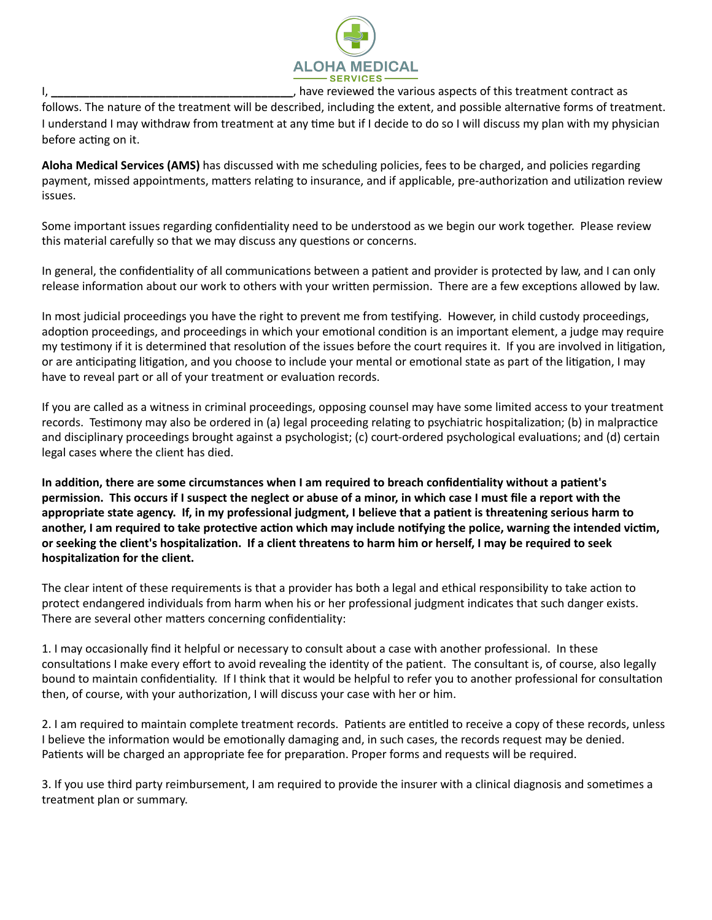

I, **I,** the same of the various aspects of this treatment contract as sourced the various aspects of this treatment contract as

follows. The nature of the treatment will be described, including the extent, and possible alternative forms of treatment. I understand I may withdraw from treatment at any time but if I decide to do so I will discuss my plan with my physician before acting on it.

Aloha Medical Services (AMS) has discussed with me scheduling policies, fees to be charged, and policies regarding payment, missed appointments, matters relating to insurance, and if applicable, pre-authorization and utilization review issues. 

Some important issues regarding confidentiality need to be understood as we begin our work together. Please review this material carefully so that we may discuss any questions or concerns.

In general, the confidentiality of all communications between a patient and provider is protected by law, and I can only release information about our work to others with your written permission. There are a few exceptions allowed by law.

In most judicial proceedings you have the right to prevent me from testifying. However, in child custody proceedings, adoption proceedings, and proceedings in which your emotional condition is an important element, a judge may require my testimony if it is determined that resolution of the issues before the court requires it. If you are involved in litigation, or are anticipating litigation, and you choose to include your mental or emotional state as part of the litigation, I may have to reveal part or all of your treatment or evaluation records.

If you are called as a witness in criminal proceedings, opposing counsel may have some limited access to your treatment records. Testimony may also be ordered in (a) legal proceeding relating to psychiatric hospitalization; (b) in malpractice and disciplinary proceedings brought against a psychologist; (c) court-ordered psychological evaluations; and (d) certain legal cases where the client has died.

In addition, there are some circumstances when I am required to breach confidentiality without a patient's **permission.** This occurs if I suspect the neglect or abuse of a minor, in which case I must file a report with the appropriate state agency. If, in my professional judgment, I believe that a patient is threatening serious harm to another, I am required to take protective action which may include notifying the police, warning the intended victim, or seeking the client's hospitalization. If a client threatens to harm him or herself, I may be required to seek hospitalization for the client.

The clear intent of these requirements is that a provider has both a legal and ethical responsibility to take action to protect endangered individuals from harm when his or her professional judgment indicates that such danger exists. There are several other matters concerning confidentiality:

1. I may occasionally find it helpful or necessary to consult about a case with another professional. In these consultations I make every effort to avoid revealing the identity of the patient. The consultant is, of course, also legally bound to maintain confidentiality. If I think that it would be helpful to refer you to another professional for consultation then, of course, with your authorization, I will discuss your case with her or him.

2. I am required to maintain complete treatment records. Patients are entitled to receive a copy of these records, unless I believe the information would be emotionally damaging and, in such cases, the records request may be denied. Patients will be charged an appropriate fee for preparation. Proper forms and requests will be required.

3. If you use third party reimbursement, I am required to provide the insurer with a clinical diagnosis and sometimes a treatment plan or summary.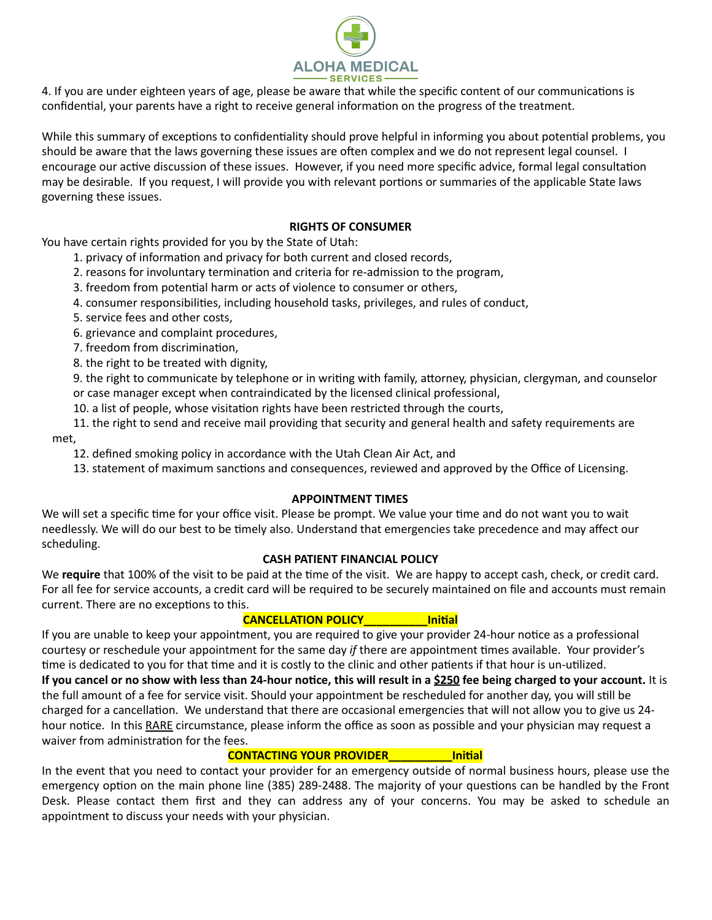

4. If you are under eighteen years of age, please be aware that while the specific content of our communications is confidential, your parents have a right to receive general information on the progress of the treatment.

While this summary of exceptions to confidentiality should prove helpful in informing you about potential problems, you should be aware that the laws governing these issues are often complex and we do not represent legal counsel. I encourage our active discussion of these issues. However, if you need more specific advice, formal legal consultation may be desirable. If you request, I will provide you with relevant portions or summaries of the applicable State laws governing these issues.

## **RIGHTS OF CONSUMER**

You have certain rights provided for you by the State of Utah:

- 1. privacy of information and privacy for both current and closed records,
- 2. reasons for involuntary termination and criteria for re-admission to the program,
- 3. freedom from potential harm or acts of violence to consumer or others,
- 4. consumer responsibilities, including household tasks, privileges, and rules of conduct,
- 5. service fees and other costs,
- 6. grievance and complaint procedures,
- 7. freedom from discrimination,
- 8. the right to be treated with dignity,

9. the right to communicate by telephone or in writing with family, attorney, physician, clergyman, and counselor or case manager except when contraindicated by the licensed clinical professional,

- 10. a list of people, whose visitation rights have been restricted through the courts,
- 11. the right to send and receive mail providing that security and general health and safety requirements are met,
	- 12. defined smoking policy in accordance with the Utah Clean Air Act, and
	- 13. statement of maximum sanctions and consequences, reviewed and approved by the Office of Licensing.

#### **APPOINTMENT TIMES**

We will set a specific time for your office visit. Please be prompt. We value your time and do not want you to wait needlessly. We will do our best to be timely also. Understand that emergencies take precedence and may affect our scheduling. 

#### **CASH PATIENT FINANCIAL POLICY**

We require that 100% of the visit to be paid at the time of the visit. We are happy to accept cash, check, or credit card. For all fee for service accounts, a credit card will be required to be securely maintained on file and accounts must remain current. There are no exceptions to this.

## CANCELLATION POLICY\_\_\_\_\_\_\_\_\_\_Initial

If you are unable to keep your appointment, you are required to give your provider 24-hour notice as a professional courtesy or reschedule your appointment for the same day *if* there are appointment times available. Your provider's time is dedicated to you for that time and it is costly to the clinic and other patients if that hour is un-utilized. **If you cancel or no show with less than 24-hour notice, this will result in a \$250 fee being charged to your account.** It is the full amount of a fee for service visit. Should your appointment be rescheduled for another day, you will still be

charged for a cancellation. We understand that there are occasional emergencies that will not allow you to give us 24hour notice. In this RARE circumstance, please inform the office as soon as possible and your physician may request a waiver from administration for the fees.

#### **CONTACTING YOUR PROVIDER THE LIMIT OF LIMIT IN A LIMIT OF LIMIT A LIMIT OF LIMIT A LIMIT A LIMIT A LIMIT A LIM**

In the event that you need to contact your provider for an emergency outside of normal business hours, please use the emergency option on the main phone line (385) 289-2488. The majority of your questions can be handled by the Front Desk. Please contact them first and they can address any of your concerns. You may be asked to schedule an appointment to discuss your needs with your physician.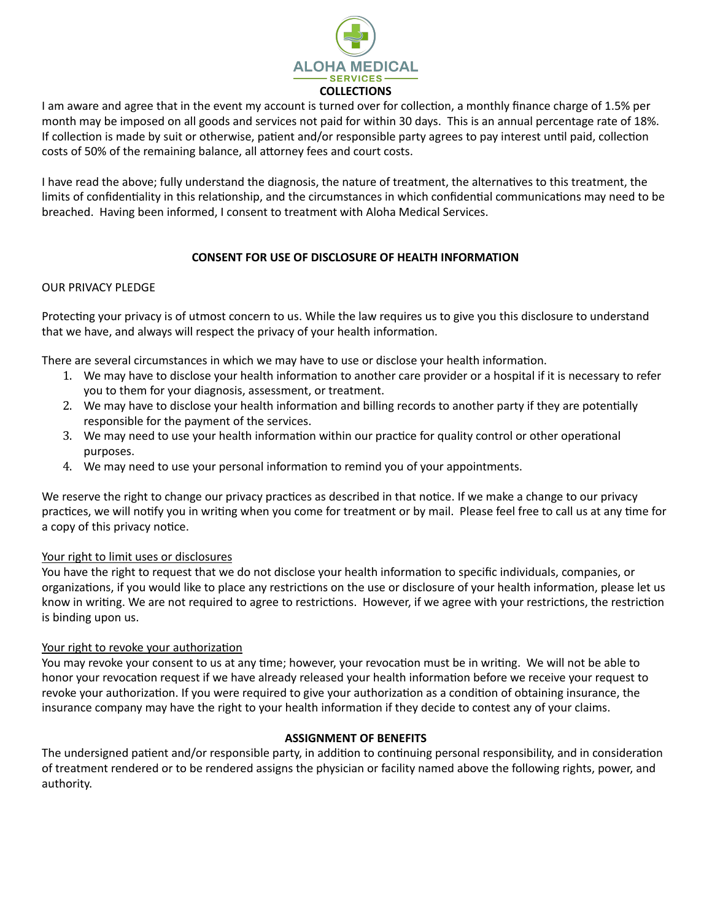

I am aware and agree that in the event my account is turned over for collection, a monthly finance charge of 1.5% per month may be imposed on all goods and services not paid for within 30 days. This is an annual percentage rate of 18%. If collection is made by suit or otherwise, patient and/or responsible party agrees to pay interest until paid, collection costs of 50% of the remaining balance, all attorney fees and court costs.

I have read the above; fully understand the diagnosis, the nature of treatment, the alternatives to this treatment, the limits of confidentiality in this relationship, and the circumstances in which confidential communications may need to be breached. Having been informed, I consent to treatment with Aloha Medical Services.

# **CONSENT FOR USE OF DISCLOSURE OF HEALTH INFORMATION**

### OUR PRIVACY PLEDGE

Protecting your privacy is of utmost concern to us. While the law requires us to give you this disclosure to understand that we have, and always will respect the privacy of your health information.

There are several circumstances in which we may have to use or disclose your health information.

- 1. We may have to disclose your health information to another care provider or a hospital if it is necessary to refer you to them for your diagnosis, assessment, or treatment.
- 2. We may have to disclose your health information and billing records to another party if they are potentially responsible for the payment of the services.
- 3. We may need to use your health information within our practice for quality control or other operational purposes.
- 4. We may need to use your personal information to remind you of your appointments.

We reserve the right to change our privacy practices as described in that notice. If we make a change to our privacy practices, we will notify you in writing when you come for treatment or by mail. Please feel free to call us at any time for a copy of this privacy notice.

#### Your right to limit uses or disclosures

You have the right to request that we do not disclose your health information to specific individuals, companies, or organizations, if you would like to place any restrictions on the use or disclosure of your health information, please let us know in writing. We are not required to agree to restrictions. However, if we agree with your restrictions, the restriction is binding upon us.

#### Your right to revoke your authorization

You may revoke your consent to us at any time; however, your revocation must be in writing. We will not be able to honor your revocation request if we have already released your health information before we receive your request to revoke your authorization. If you were required to give your authorization as a condition of obtaining insurance, the insurance company may have the right to your health information if they decide to contest any of your claims.

#### **ASSIGNMENT OF BENEFITS**

The undersigned patient and/or responsible party, in addition to continuing personal responsibility, and in consideration of treatment rendered or to be rendered assigns the physician or facility named above the following rights, power, and authority.